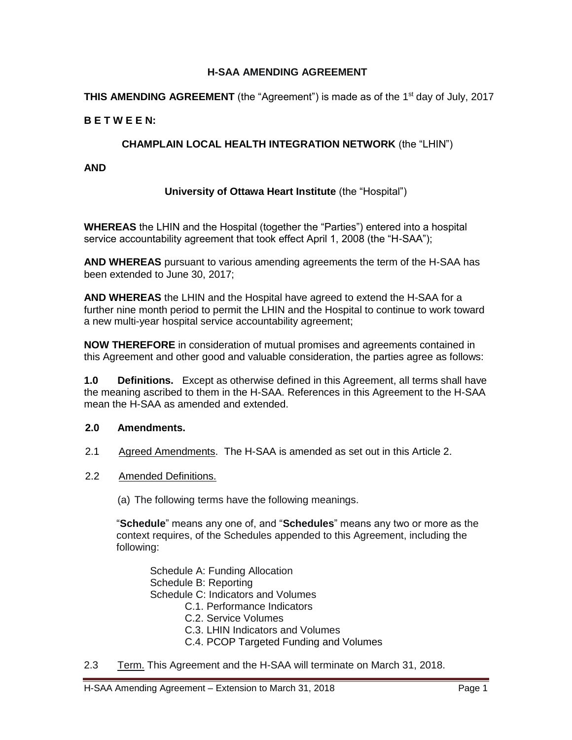### **H-SAA AMENDING AGREEMENT**

**THIS AMENDING AGREEMENT** (the "Agreement") is made as of the 1<sup>st</sup> day of July, 2017

### **B E T W E E N:**

### **CHAMPLAIN LOCAL HEALTH INTEGRATION NETWORK** (the "LHIN")

**AND** 

### **University of Ottawa Heart Institute** (the "Hospital")

**WHEREAS** the LHIN and the Hospital (together the "Parties") entered into a hospital service accountability agreement that took effect April 1, 2008 (the "H-SAA");

**AND WHEREAS** pursuant to various amending agreements the term of the H-SAA has been extended to June 30, 2017;

**AND WHEREAS** the LHIN and the Hospital have agreed to extend the H-SAA for a further nine month period to permit the LHIN and the Hospital to continue to work toward a new multi-year hospital service accountability agreement;

**NOW THEREFORE** in consideration of mutual promises and agreements contained in this Agreement and other good and valuable consideration, the parties agree as follows:

**1.0 Definitions.** Except as otherwise defined in this Agreement, all terms shall have the meaning ascribed to them in the H-SAA. References in this Agreement to the H-SAA mean the H-SAA as amended and extended.

### **2.0 Amendments.**

- 2.1 Agreed Amendments. The H-SAA is amended as set out in this Article 2.
- 2.2 Amended Definitions.

(a) The following terms have the following meanings.

"**Schedule**" means any one of, and "**Schedules**" means any two or more as the context requires, of the Schedules appended to this Agreement, including the following:

Schedule A: Funding Allocation Schedule B: Reporting Schedule C: Indicators and Volumes

- C.1. Performance Indicators
- C.2. Service Volumes
- C.3. LHIN Indicators and Volumes
- C.4. PCOP Targeted Funding and Volumes
- 2.3 Term. This Agreement and the H-SAA will terminate on March 31, 2018.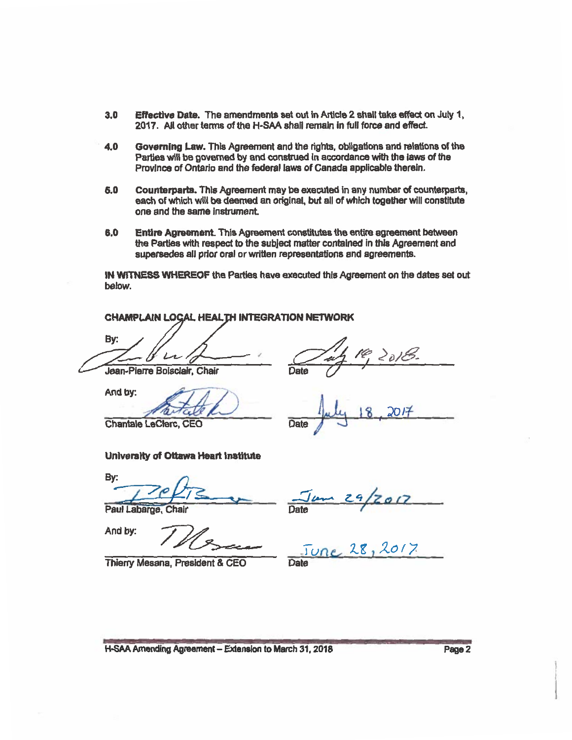- $3.0$ Effective Date. The amendments set out in Article 2 shall take effect on July 1. 2017. All other terms of the H-SAA shall remain in full force and effect.
- Governing Law. This Agreement and the rights, obligations and relations of the 4.0 Parties will be governed by and construed in accordance with the laws of the Province of Ontario and the federal laws of Canada applicable therein.
- Counterparts. This Agreement may be executed in any number of counterparts,  $6.0$ each of which will be deemed an original, but all of which together will constitute one and the same instrument.
- Entire Agreement. This Agreement constitutes the entire agreement between  $6.0$ the Parties with respect to the subject matter contained in this Agreement and supersedes all prior oral or written representations and agreements.

IN WITNESS WHEREOF the Parties have executed this Agreement on the dates set out below.

CHAMPLAIN LOCAL HEALTH INTEGRATION NETWORK By: Jean-Pierre Boisclair, Chair

And by:

Date

**Chantale LeClerc, CEO** 

#### **University of Ottawa Heart Institute**

By:

Paul Labarge,

And by:

Thierry Mesana, President & CEO

re 28,2017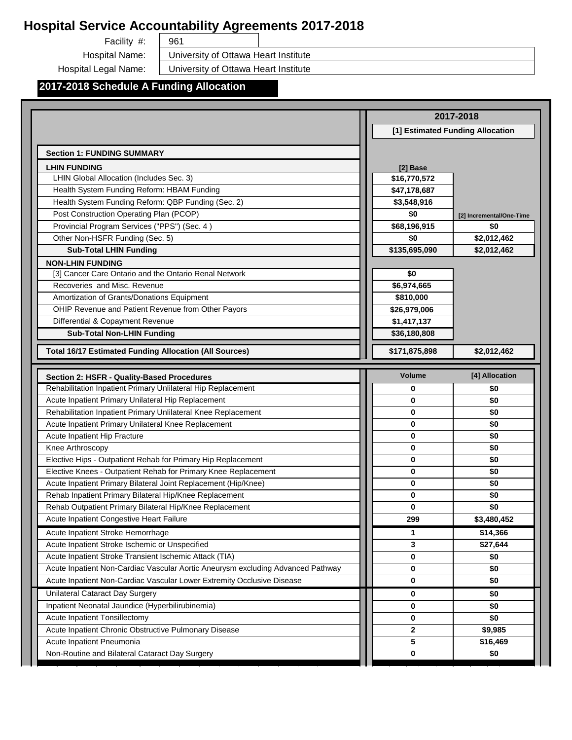961

Facility #: Hospital Name:

University of Ottawa Heart Institute

Hospital Legal Name:

University of Ottawa Heart Institute

## **2017-2018 Schedule A Funding Allocation**

|                                                                                                            |                                  | 2017-2018                       |
|------------------------------------------------------------------------------------------------------------|----------------------------------|---------------------------------|
|                                                                                                            | [1] Estimated Funding Allocation |                                 |
| <b>Section 1: FUNDING SUMMARY</b>                                                                          |                                  |                                 |
| <b>LHIN FUNDING</b>                                                                                        | [2] Base                         |                                 |
| LHIN Global Allocation (Includes Sec. 3)                                                                   | \$16,770,572                     |                                 |
| Health System Funding Reform: HBAM Funding                                                                 | \$47,178,687                     |                                 |
| Health System Funding Reform: QBP Funding (Sec. 2)                                                         | \$3,548,916                      |                                 |
| Post Construction Operating Plan (PCOP)                                                                    | \$0                              |                                 |
| Provincial Program Services ("PPS") (Sec. 4)                                                               | \$68,196,915                     | [2] Incremental/One-Time<br>\$0 |
| Other Non-HSFR Funding (Sec. 5)                                                                            | \$0                              | \$2,012,462                     |
| <b>Sub-Total LHIN Funding</b>                                                                              | \$135,695,090                    | \$2,012,462                     |
|                                                                                                            |                                  |                                 |
| <b>NON-LHIN FUNDING</b><br>[3] Cancer Care Ontario and the Ontario Renal Network                           | \$0                              |                                 |
| Recoveries and Misc. Revenue                                                                               | \$6,974,665                      |                                 |
| Amortization of Grants/Donations Equipment                                                                 | \$810,000                        |                                 |
| OHIP Revenue and Patient Revenue from Other Payors                                                         | \$26,979,006                     |                                 |
| Differential & Copayment Revenue                                                                           | \$1,417,137                      |                                 |
| <b>Sub-Total Non-LHIN Funding</b>                                                                          |                                  |                                 |
|                                                                                                            | \$36,180,808                     |                                 |
| <b>Total 16/17 Estimated Funding Allocation (All Sources)</b>                                              | \$171,875,898                    | \$2,012,462                     |
|                                                                                                            | <b>Volume</b>                    | [4] Allocation                  |
| Section 2: HSFR - Quality-Based Procedures<br>Rehabilitation Inpatient Primary Unlilateral Hip Replacement | 0                                | \$0                             |
| Acute Inpatient Primary Unilateral Hip Replacement                                                         |                                  |                                 |
|                                                                                                            |                                  |                                 |
|                                                                                                            | $\mathbf 0$                      | \$0                             |
| Rehabilitation Inpatient Primary Unlilateral Knee Replacement                                              | $\mathbf 0$                      | \$0                             |
| Acute Inpatient Primary Unilateral Knee Replacement                                                        | 0                                | \$0                             |
| Acute Inpatient Hip Fracture                                                                               | 0                                | \$0                             |
| Knee Arthroscopy                                                                                           | 0                                | \$0                             |
| Elective Hips - Outpatient Rehab for Primary Hip Replacement                                               | 0                                | \$0                             |
| Elective Knees - Outpatient Rehab for Primary Knee Replacement                                             | $\mathbf 0$                      | \$0                             |
| Acute Inpatient Primary Bilateral Joint Replacement (Hip/Knee)                                             | $\mathbf 0$                      | \$0                             |
| Rehab Inpatient Primary Bilateral Hip/Knee Replacement                                                     | $\bf{0}$                         | \$0                             |
| Rehab Outpatient Primary Bilateral Hip/Knee Replacement                                                    | $\bf{0}$                         | \$0                             |
| Acute Inpatient Congestive Heart Failure                                                                   | 299                              | \$3.480.452                     |
| Acute Inpatient Stroke Hemorrhage                                                                          | 1                                | \$14,366                        |
| Acute Inpatient Stroke Ischemic or Unspecified                                                             | 3                                | \$27,644                        |
| Acute Inpatient Stroke Transient Ischemic Attack (TIA)                                                     | 0                                | \$0                             |
| Acute Inpatient Non-Cardiac Vascular Aortic Aneurysm excluding Advanced Pathway                            | 0                                | \$0                             |
| Acute Inpatient Non-Cardiac Vascular Lower Extremity Occlusive Disease                                     | 0                                | \$0                             |
| Unilateral Cataract Day Surgery                                                                            | 0                                | \$0                             |
| Inpatient Neonatal Jaundice (Hyperbilirubinemia)                                                           | 0                                | \$0                             |
| Acute Inpatient Tonsillectomy                                                                              | 0                                | \$0                             |
| Acute Inpatient Chronic Obstructive Pulmonary Disease                                                      | $\mathbf{2}$                     | \$9,985                         |
| Acute Inpatient Pneumonia<br>Non-Routine and Bilateral Cataract Day Surgery                                | $5\phantom{.0}$                  | \$16,469                        |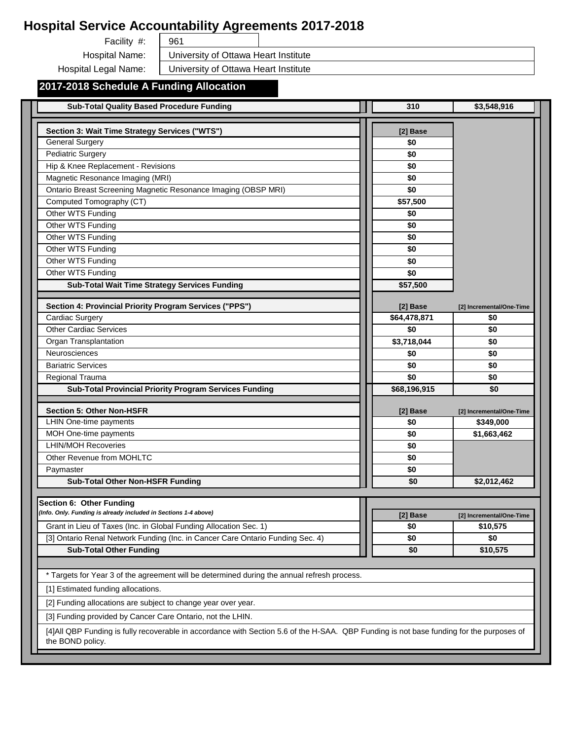961

Facility #: Hospital Name:

University of Ottawa Heart Institute

Hospital Legal Name:

University of Ottawa Heart Institute

# **2017-2018 Schedule A Funding Allocation**

| <b>Sub-Total Quality Based Procedure Funding</b>                                                                                                              | 310                      | \$3,548,916                     |
|---------------------------------------------------------------------------------------------------------------------------------------------------------------|--------------------------|---------------------------------|
| Section 3: Wait Time Strategy Services ("WTS")                                                                                                                | [2] Base                 |                                 |
| <b>General Surgery</b>                                                                                                                                        | \$0                      |                                 |
| <b>Pediatric Surgery</b>                                                                                                                                      | \$0                      |                                 |
| Hip & Knee Replacement - Revisions                                                                                                                            | \$0                      |                                 |
| Magnetic Resonance Imaging (MRI)                                                                                                                              | \$0                      |                                 |
| Ontario Breast Screening Magnetic Resonance Imaging (OBSP MRI)                                                                                                | \$0                      |                                 |
| Computed Tomography (CT)                                                                                                                                      | \$57,500                 |                                 |
| Other WTS Funding                                                                                                                                             | \$0                      |                                 |
| Other WTS Funding                                                                                                                                             | \$0                      |                                 |
| Other WTS Funding                                                                                                                                             | \$0                      |                                 |
| Other WTS Funding                                                                                                                                             | \$0                      |                                 |
| Other WTS Funding                                                                                                                                             | \$0                      |                                 |
| Other WTS Funding                                                                                                                                             | \$0                      |                                 |
| <b>Sub-Total Wait Time Strategy Services Funding</b>                                                                                                          | \$57,500                 |                                 |
|                                                                                                                                                               |                          |                                 |
| Section 4: Provincial Priority Program Services ("PPS")<br><b>Cardiac Surgery</b>                                                                             | [2] Base<br>\$64,478,871 | [2] Incremental/One-Time<br>\$0 |
| <b>Other Cardiac Services</b>                                                                                                                                 | \$0                      | \$0                             |
| Organ Transplantation                                                                                                                                         | \$3,718,044              | \$0                             |
| Neurosciences                                                                                                                                                 | \$0                      | \$0                             |
| <b>Bariatric Services</b>                                                                                                                                     | \$0                      | \$0                             |
| Regional Trauma                                                                                                                                               | \$0                      | \$0                             |
| Sub-Total Provincial Priority Program Services Funding                                                                                                        | \$68,196,915             | \$0                             |
|                                                                                                                                                               |                          |                                 |
| <b>Section 5: Other Non-HSFR</b>                                                                                                                              | [2] Base                 | [2] Incremental/One-Time        |
| LHIN One-time payments                                                                                                                                        | \$0                      | \$349,000                       |
| MOH One-time payments                                                                                                                                         | \$0                      | \$1,663,462                     |
| <b>LHIN/MOH Recoveries</b>                                                                                                                                    | \$0                      |                                 |
| Other Revenue from MOHLTC                                                                                                                                     | \$0                      |                                 |
| Paymaster                                                                                                                                                     | \$0                      |                                 |
| <b>Sub-Total Other Non-HSFR Funding</b>                                                                                                                       | \$0                      | \$2,012,462                     |
| Section 6: Other Funding                                                                                                                                      |                          |                                 |
| (Info. Only. Funding is already included in Sections 1-4 above)                                                                                               | [2] Base                 | [2] Incremental/One-Time        |
| Grant in Lieu of Taxes (Inc. in Global Funding Allocation Sec. 1)                                                                                             | \$0                      | \$10,575                        |
| [3] Ontario Renal Network Funding (Inc. in Cancer Care Ontario Funding Sec. 4)                                                                                | \$0                      | \$0                             |
| <b>Sub-Total Other Funding</b>                                                                                                                                | \$0                      | \$10,575                        |
|                                                                                                                                                               |                          |                                 |
| * Targets for Year 3 of the agreement will be determined during the annual refresh process.                                                                   |                          |                                 |
| [1] Estimated funding allocations.                                                                                                                            |                          |                                 |
| [2] Funding allocations are subject to change year over year.                                                                                                 |                          |                                 |
| [3] Funding provided by Cancer Care Ontario, not the LHIN.                                                                                                    |                          |                                 |
| [4] All QBP Funding is fully recoverable in accordance with Section 5.6 of the H-SAA. QBP Funding is not base funding for the purposes of<br>the BOND policy. |                          |                                 |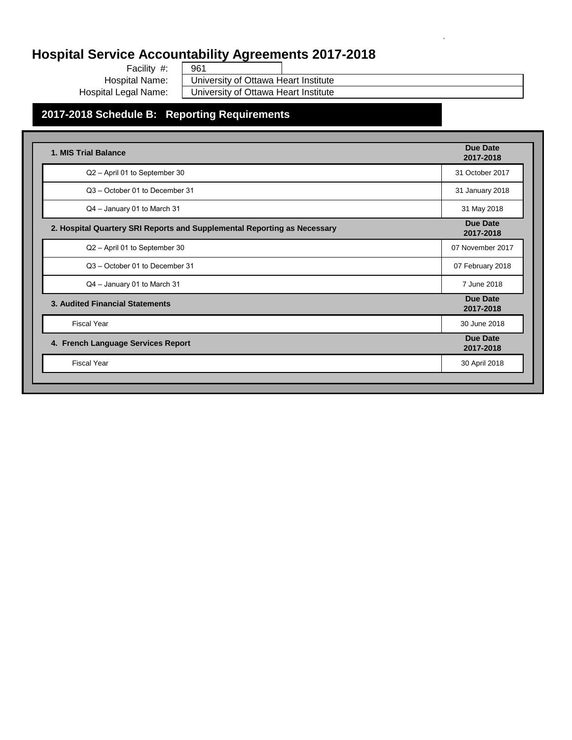Facility #: Hospital Name: Hospital Legal Name:

961 University of Ottawa Heart Institute University of Ottawa Heart Institute `

## **2017-2018 Schedule B: Reporting Requirements**

| 1. MIS Trial Balance                                                     | Due Date<br>2017-2018        |
|--------------------------------------------------------------------------|------------------------------|
| Q2 - April 01 to September 30                                            | 31 October 2017              |
| Q3 - October 01 to December 31                                           | 31 January 2018              |
| Q4 - January 01 to March 31                                              | 31 May 2018                  |
| 2. Hospital Quartery SRI Reports and Supplemental Reporting as Necessary | <b>Due Date</b><br>2017-2018 |
| Q2 - April 01 to September 30                                            | 07 November 2017             |
| Q3 - October 01 to December 31                                           | 07 February 2018             |
| Q4 - January 01 to March 31                                              | 7 June 2018                  |
| 3. Audited Financial Statements                                          | <b>Due Date</b><br>2017-2018 |
| <b>Fiscal Year</b>                                                       | 30 June 2018                 |
| 4. French Language Services Report                                       | Due Date<br>2017-2018        |
| <b>Fiscal Year</b>                                                       | 30 April 2018                |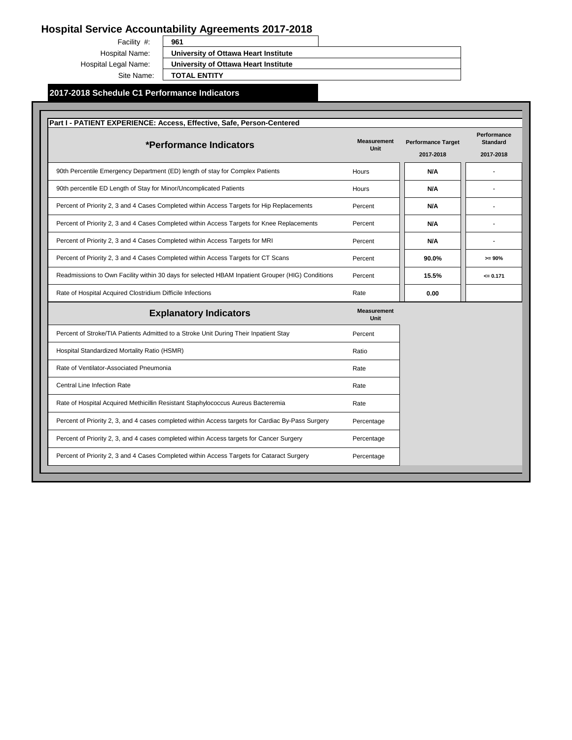Facility #: Hospital Name: Hospital Legal Name: Site Name:

**University of Ottawa Heart Institute**

**University of Ottawa Heart Institute**

**TOTAL ENTITY**

#### **2017-2018 Schedule C1 Performance Indicators**

| *Performance Indicators                                                                           | <b>Measurement</b><br><b>Unit</b> | <b>Performance Target</b><br>2017-2018 | Performance<br><b>Standard</b><br>2017-2018 |
|---------------------------------------------------------------------------------------------------|-----------------------------------|----------------------------------------|---------------------------------------------|
| 90th Percentile Emergency Department (ED) length of stay for Complex Patients                     | Hours                             | N/A                                    |                                             |
| 90th percentile ED Length of Stay for Minor/Uncomplicated Patients                                | <b>Hours</b>                      | <b>N/A</b>                             |                                             |
| Percent of Priority 2, 3 and 4 Cases Completed within Access Targets for Hip Replacements         | Percent                           | <b>N/A</b>                             |                                             |
| Percent of Priority 2, 3 and 4 Cases Completed within Access Targets for Knee Replacements        | Percent                           | N/A                                    |                                             |
| Percent of Priority 2, 3 and 4 Cases Completed within Access Targets for MRI                      | Percent                           | <b>N/A</b>                             |                                             |
| Percent of Priority 2, 3 and 4 Cases Completed within Access Targets for CT Scans                 | Percent                           | 90.0%                                  | $>= 90%$                                    |
| Readmissions to Own Facility within 30 days for selected HBAM Inpatient Grouper (HIG) Conditions  | Percent                           | 15.5%                                  | $= 0.171$                                   |
| Rate of Hospital Acquired Clostridium Difficile Infections                                        | Rate                              | 0.00                                   |                                             |
| <b>Explanatory Indicators</b>                                                                     | <b>Measurement</b><br><b>Unit</b> |                                        |                                             |
| Percent of Stroke/TIA Patients Admitted to a Stroke Unit During Their Inpatient Stay              | Percent                           |                                        |                                             |
| Hospital Standardized Mortality Ratio (HSMR)                                                      | Ratio                             |                                        |                                             |
| Rate of Ventilator-Associated Pneumonia                                                           | Rate                              |                                        |                                             |
| <b>Central Line Infection Rate</b>                                                                | Rate                              |                                        |                                             |
| Rate of Hospital Acquired Methicillin Resistant Staphylococcus Aureus Bacteremia                  | Rate                              |                                        |                                             |
| Percent of Priority 2, 3, and 4 cases completed within Access targets for Cardiac By-Pass Surgery | Percentage                        |                                        |                                             |
| Percent of Priority 2, 3, and 4 cases completed within Access targets for Cancer Surgery          | Percentage                        |                                        |                                             |
| Percent of Priority 2, 3 and 4 Cases Completed within Access Targets for Cataract Surgery         | Percentage                        |                                        |                                             |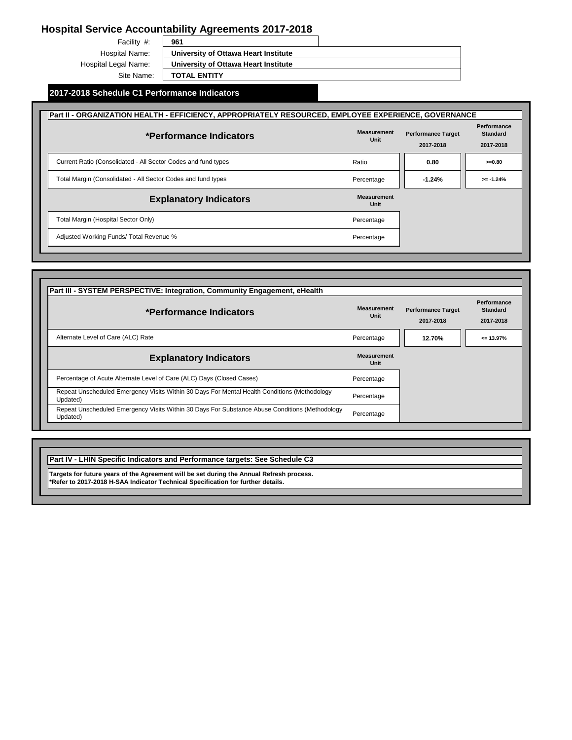Facility #: Hospital Name: Hospital Legal Name: Site Name:

**University of Ottawa Heart Institute**

**University of Ottawa Heart Institute**

**TOTAL ENTITY**

### **2017-2018 Schedule C1 Performance Indicators**

| Part II - ORGANIZATION HEALTH - EFFICIENCY, APPROPRIATELY RESOURCED, EMPLOYEE EXPERIENCE, GOVERNANCE |                            |                                        |                                             |
|------------------------------------------------------------------------------------------------------|----------------------------|----------------------------------------|---------------------------------------------|
| *Performance Indicators                                                                              | <b>Measurement</b><br>Unit | <b>Performance Target</b><br>2017-2018 | Performance<br><b>Standard</b><br>2017-2018 |
| Current Ratio (Consolidated - All Sector Codes and fund types                                        | Ratio                      | 0.80                                   | $>=0.80$                                    |
| Total Margin (Consolidated - All Sector Codes and fund types                                         | Percentage                 | $-1.24%$                               | $>= -1.24%$                                 |
| <b>Explanatory Indicators</b>                                                                        | <b>Measurement</b><br>Unit |                                        |                                             |
| Total Margin (Hospital Sector Only)                                                                  | Percentage                 |                                        |                                             |
| Adjusted Working Funds/ Total Revenue %                                                              | Percentage                 |                                        |                                             |

| *Performance Indicators                                                                                    | <b>Measurement</b><br>Unit | <b>Performance Target</b><br>2017-2018 | Performance<br><b>Standard</b><br>2017-2018 |
|------------------------------------------------------------------------------------------------------------|----------------------------|----------------------------------------|---------------------------------------------|
| Alternate Level of Care (ALC) Rate                                                                         | Percentage                 | 12.70%                                 | $= 13.97%$                                  |
| <b>Explanatory Indicators</b>                                                                              | <b>Measurement</b><br>Unit |                                        |                                             |
| Percentage of Acute Alternate Level of Care (ALC) Days (Closed Cases)                                      | Percentage                 |                                        |                                             |
| Repeat Unscheduled Emergency Visits Within 30 Days For Mental Health Conditions (Methodology<br>Updated)   | Percentage                 |                                        |                                             |
| Repeat Unscheduled Emergency Visits Within 30 Days For Substance Abuse Conditions (Methodology<br>Updated) | Percentage                 |                                        |                                             |

**Part IV - LHIN Specific Indicators and Performance targets: See Schedule C3**

**Targets for future years of the Agreement will be set during the Annual Refresh process. \*Refer to 2017-2018 H-SAA Indicator Technical Specification for further details.**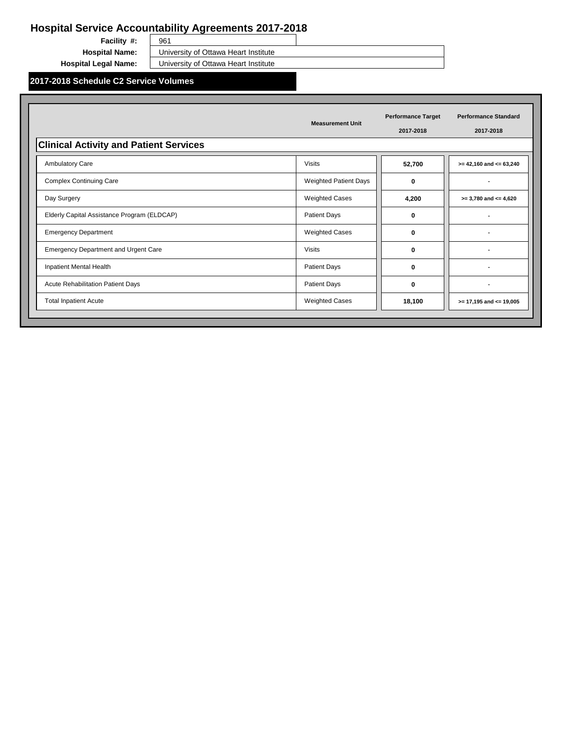**Facility #:** 

961 **Hospital Name:** University of Ottawa Heart Institute

**Hospital Legal Name:** University of Ottawa Heart Institute

**2017-2018 Schedule C2 Service Volumes**

|                                               | <b>Measurement Unit</b>      | <b>Performance Target</b><br>2017-2018 | <b>Performance Standard</b><br>2017-2018 |
|-----------------------------------------------|------------------------------|----------------------------------------|------------------------------------------|
| <b>Clinical Activity and Patient Services</b> |                              |                                        |                                          |
| <b>Ambulatory Care</b>                        | <b>Visits</b>                | 52,700                                 | $>= 42,160$ and $<= 63,240$              |
| <b>Complex Continuing Care</b>                | <b>Weighted Patient Days</b> | 0                                      |                                          |
| Day Surgery                                   | <b>Weighted Cases</b>        | 4,200                                  | $>= 3,780$ and $<= 4,620$                |
| Elderly Capital Assistance Program (ELDCAP)   | <b>Patient Days</b>          | 0                                      |                                          |
| <b>Emergency Department</b>                   | <b>Weighted Cases</b>        | 0                                      |                                          |
| <b>Emergency Department and Urgent Care</b>   | <b>Visits</b>                | 0                                      |                                          |
| Inpatient Mental Health                       | <b>Patient Days</b>          | 0                                      |                                          |
| Acute Rehabilitation Patient Days             | <b>Patient Days</b>          | 0                                      |                                          |
| <b>Total Inpatient Acute</b>                  | <b>Weighted Cases</b>        | 18,100                                 | $>= 17,195$ and $<= 19,005$              |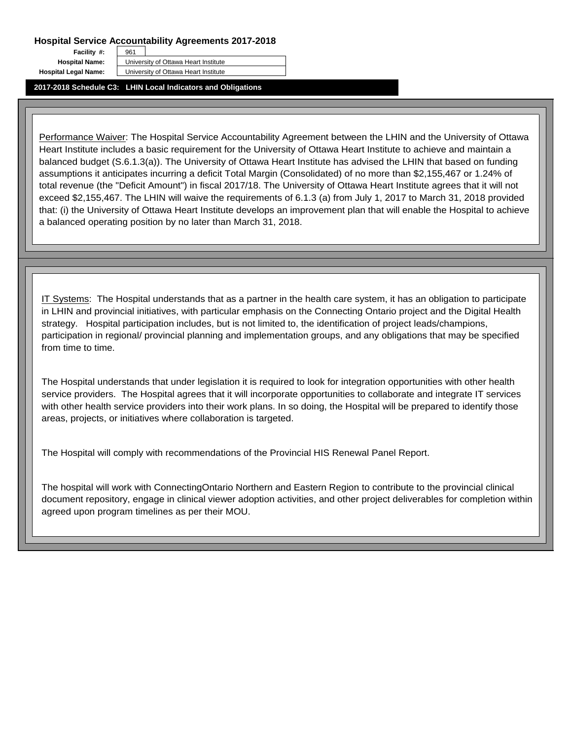**Facility #:** 

**Hospital Name:** University of Ottawa Heart Institute

**Hospital Legal Name:** University of Ottawa Heart Institute

**2017-2018 Schedule C3: LHIN Local Indicators and Obligations**

961

Performance Waiver: The Hospital Service Accountability Agreement between the LHIN and the University of Ottawa Heart Institute includes a basic requirement for the University of Ottawa Heart Institute to achieve and maintain a balanced budget (S.6.1.3(a)). The University of Ottawa Heart Institute has advised the LHIN that based on funding assumptions it anticipates incurring a deficit Total Margin (Consolidated) of no more than \$2,155,467 or 1.24% of total revenue (the "Deficit Amount") in fiscal 2017/18. The University of Ottawa Heart Institute agrees that it will not exceed \$2,155,467. The LHIN will waive the requirements of 6.1.3 (a) from July 1, 2017 to March 31, 2018 provided that: (i) the University of Ottawa Heart Institute develops an improvement plan that will enable the Hospital to achieve a balanced operating position by no later than March 31, 2018.

IT Systems: The Hospital understands that as a partner in the health care system, it has an obligation to participate in LHIN and provincial initiatives, with particular emphasis on the Connecting Ontario project and the Digital Health strategy. Hospital participation includes, but is not limited to, the identification of project leads/champions, participation in regional/ provincial planning and implementation groups, and any obligations that may be specified from time to time.

The Hospital understands that under legislation it is required to look for integration opportunities with other health service providers. The Hospital agrees that it will incorporate opportunities to collaborate and integrate IT services with other health service providers into their work plans. In so doing, the Hospital will be prepared to identify those areas, projects, or initiatives where collaboration is targeted.

The Hospital will comply with recommendations of the Provincial HIS Renewal Panel Report.

The hospital will work with ConnectingOntario Northern and Eastern Region to contribute to the provincial clinical document repository, engage in clinical viewer adoption activities, and other project deliverables for completion within agreed upon program timelines as per their MOU.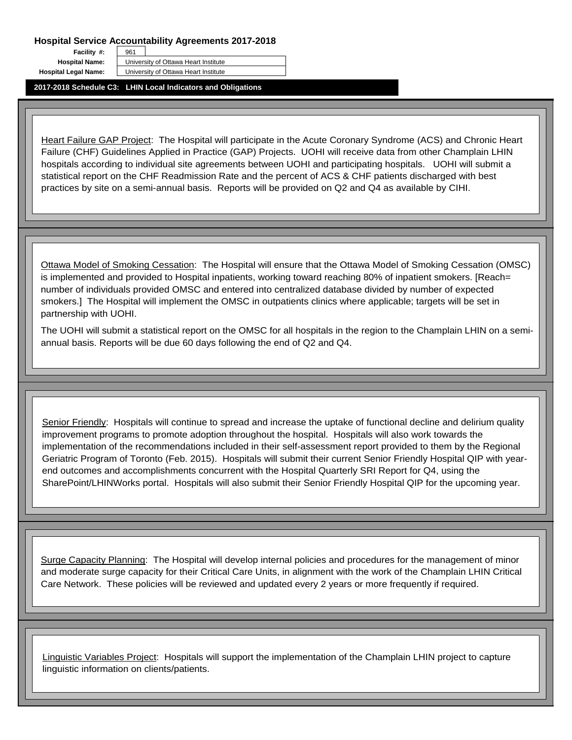961

**Facility #: Hospital Legal Name:** University of Ottawa Heart Institute

**Hospital Name:** University of Ottawa Heart Institute

**2017-2018 Schedule C3: LHIN Local Indicators and Obligations**

Heart Failure GAP Project: The Hospital will participate in the Acute Coronary Syndrome (ACS) and Chronic Heart Failure (CHF) Guidelines Applied in Practice (GAP) Projects. UOHI will receive data from other Champlain LHIN hospitals according to individual site agreements between UOHI and participating hospitals. UOHI will submit a statistical report on the CHF Readmission Rate and the percent of ACS & CHF patients discharged with best practices by site on a semi-annual basis. Reports will be provided on Q2 and Q4 as available by CIHI.

Ottawa Model of Smoking Cessation: The Hospital will ensure that the Ottawa Model of Smoking Cessation (OMSC) is implemented and provided to Hospital inpatients, working toward reaching 80% of inpatient smokers. [Reach= number of individuals provided OMSC and entered into centralized database divided by number of expected smokers.] The Hospital will implement the OMSC in outpatients clinics where applicable; targets will be set in partnership with UOHI.

The UOHI will submit a statistical report on the OMSC for all hospitals in the region to the Champlain LHIN on a semiannual basis. Reports will be due 60 days following the end of Q2 and Q4.

Senior Friendly: Hospitals will continue to spread and increase the uptake of functional decline and delirium quality improvement programs to promote adoption throughout the hospital. Hospitals will also work towards the implementation of the recommendations included in their self-assessment report provided to them by the Regional Geriatric Program of Toronto (Feb. 2015). Hospitals will submit their current Senior Friendly Hospital QIP with yearend outcomes and accomplishments concurrent with the Hospital Quarterly SRI Report for Q4, using the SharePoint/LHINWorks portal. Hospitals will also submit their Senior Friendly Hospital QIP for the upcoming year.

Surge Capacity Planning: The Hospital will develop internal policies and procedures for the management of minor and moderate surge capacity for their Critical Care Units, in alignment with the work of the Champlain LHIN Critical Care Network. These policies will be reviewed and updated every 2 years or more frequently if required.

Linguistic Variables Project: Hospitals will support the implementation of the Champlain LHIN project to capture linguistic information on clients/patients.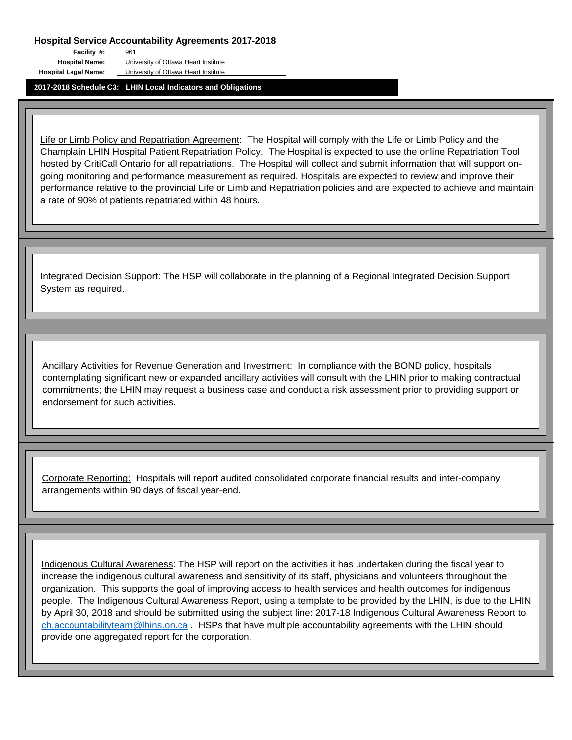961

**Facility #: Hospital Legal Name:** University of Ottawa Heart Institute

**Hospital Name:** University of Ottawa Heart Institute

**2017-2018 Schedule C3: LHIN Local Indicators and Obligations**

Life or Limb Policy and Repatriation Agreement: The Hospital will comply with the Life or Limb Policy and the Champlain LHIN Hospital Patient Repatriation Policy. The Hospital is expected to use the online Repatriation Tool hosted by CritiCall Ontario for all repatriations. The Hospital will collect and submit information that will support ongoing monitoring and performance measurement as required. Hospitals are expected to review and improve their performance relative to the provincial Life or Limb and Repatriation policies and are expected to achieve and maintain a rate of 90% of patients repatriated within 48 hours.

Integrated Decision Support: The HSP will collaborate in the planning of a Regional Integrated Decision Support System as required.

Ancillary Activities for Revenue Generation and Investment: In compliance with the BOND policy, hospitals contemplating significant new or expanded ancillary activities will consult with the LHIN prior to making contractual commitments; the LHIN may request a business case and conduct a risk assessment prior to providing support or endorsement for such activities.

Corporate Reporting: Hospitals will report audited consolidated corporate financial results and inter-company arrangements within 90 days of fiscal year-end.

Indigenous Cultural Awareness: The HSP will report on the activities it has undertaken during the fiscal year to increase the indigenous cultural awareness and sensitivity of its staff, physicians and volunteers throughout the organization. This supports the goal of improving access to health services and health outcomes for indigenous people. The Indigenous Cultural Awareness Report, using a template to be provided by the LHIN, is due to the LHIN by April 30, 2018 and should be submitted using the subject line: 2017-18 Indigenous Cultural Awareness Report to ch.accountabilityteam@lhins.on.ca . HSPs that have multiple accountability agreements with the LHIN should provide one aggregated report for the corporation.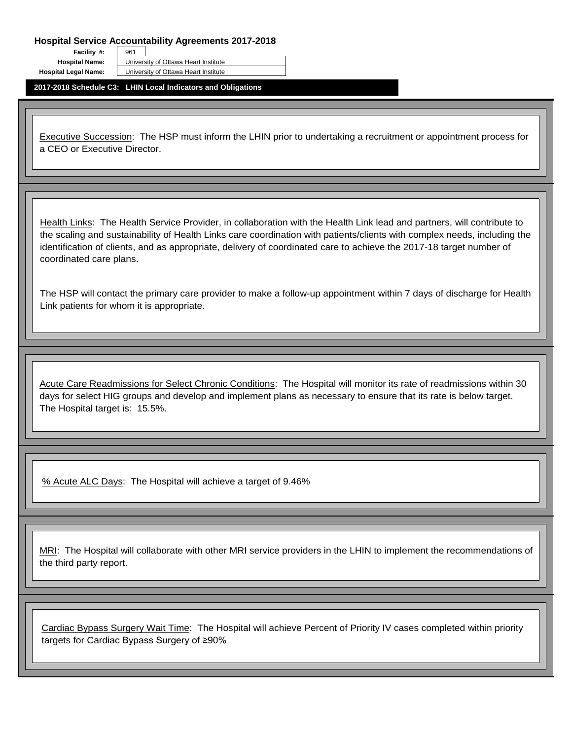**Facility #:** 

**Hospital Name:** University of Ottawa Heart Institute

**Hospital Legal Name:** University of Ottawa Heart Institute

**2017-2018 Schedule C3: LHIN Local Indicators and Obligations**

961

Executive Succession: The HSP must inform the LHIN prior to undertaking a recruitment or appointment process for a CEO or Executive Director.

Health Links: The Health Service Provider, in collaboration with the Health Link lead and partners, will contribute to the scaling and sustainability of Health Links care coordination with patients/clients with complex needs, including the identification of clients, and as appropriate, delivery of coordinated care to achieve the 2017-18 target number of coordinated care plans.

The HSP will contact the primary care provider to make a follow-up appointment within 7 days of discharge for Health Link patients for whom it is appropriate.

Acute Care Readmissions for Select Chronic Conditions: The Hospital will monitor its rate of readmissions within 30 days for select HIG groups and develop and implement plans as necessary to ensure that its rate is below target. The Hospital target is: 15.5%.

% Acute ALC Days: The Hospital will achieve a target of 9.46%<br>MRI: The Hospital will collaborate with other MRI service providers in the LHIN to implement the recommendations of the third party report.

Cardiac Bypass Surgery Wait Time: The Hospital will achieve Percent of Priority IV cases completed within priority targets for Cardiac Bypass Surgery of ≥90%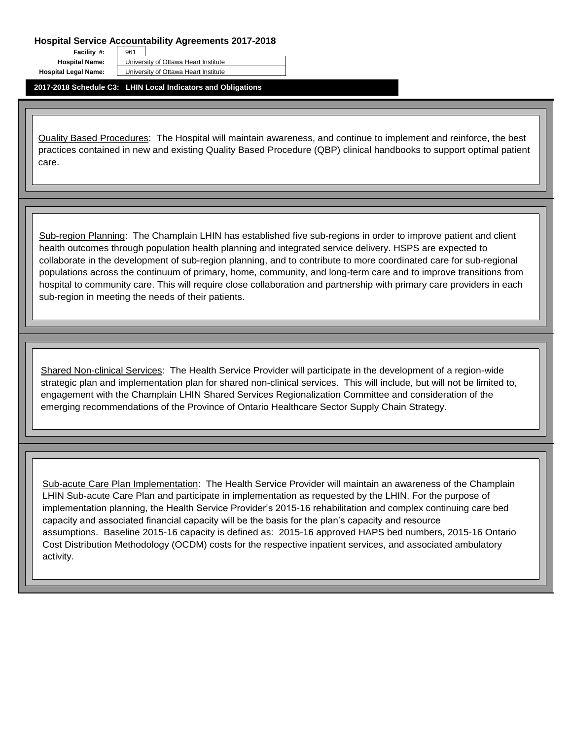961

**Facility #:** 

**Hospital Name:** University of Ottawa Heart Institute

**Hospital Legal Name:** University of Ottawa Heart Institute

**2017-2018 Schedule C3: LHIN Local Indicators and Obligations**

Quality Based Procedures: The Hospital will maintain awareness, and continue to implement and reinforce, the best practices contained in new and existing Quality Based Procedure (QBP) clinical handbooks to support optimal patient care.

Sub-region Planning: The Champlain LHIN has established five sub-regions in order to improve patient and client health outcomes through population health planning and integrated service delivery. HSPS are expected to collaborate in the development of sub-region planning, and to contribute to more coordinated care for sub-regional populations across the continuum of primary, home, community, and long-term care and to improve transitions from hospital to community care. This will require close collaboration and partnership with primary care providers in each sub-region in meeting the needs of their patients.

Shared Non-clinical Services: The Health Service Provider will participate in the development of a region-wide strategic plan and implementation plan for shared non-clinical services. This will include, but will not be limited to, engagement with the Champlain LHIN Shared Services Regionalization Committee and consideration of the emerging recommendations of the Province of Ontario Healthcare Sector Supply Chain Strategy.

Sub-acute Care Plan Implementation: The Health Service Provider will maintain an awareness of the Champlain LHIN Sub-acute Care Plan and participate in implementation as requested by the LHIN. For the purpose of implementation planning, the Health Service Provider's 2015-16 rehabilitation and complex continuing care bed capacity and associated financial capacity will be the basis for the plan's capacity and resource assumptions. Baseline 2015-16 capacity is defined as: 2015-16 approved HAPS bed numbers, 2015-16 Ontario Cost Distribution Methodology (OCDM) costs for the respective inpatient services, and associated ambulatory activity.